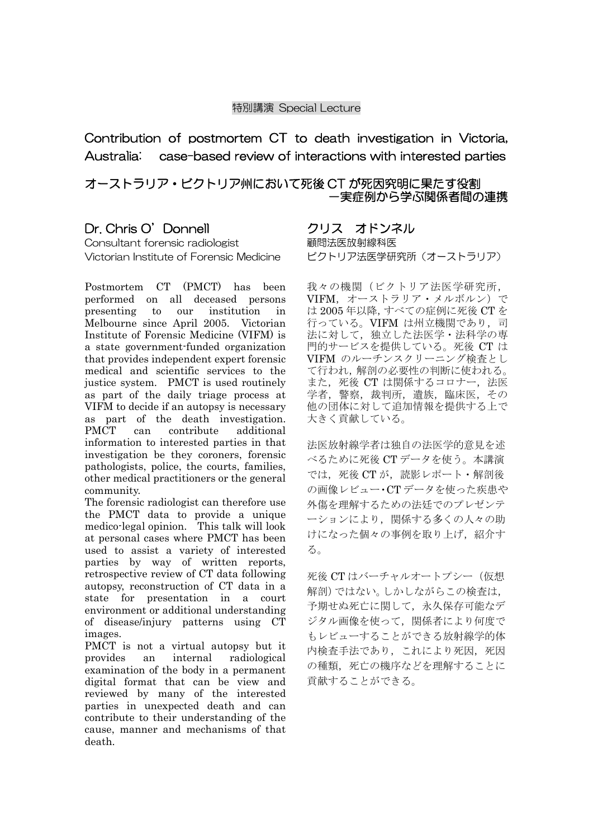### 特別講演 Special Lecture

Contribution of postmortem CT to death investigation in Victoria, Australia: case-based review of interactions with interested parties

## オーストラリア・ビクトリア州において死後 CT が死因究明に果たす役割 -実症例から学ぶ関係者間の連携

# Dr. Chris O'Donnell

Consultant forensic radiologist Victorian Institute of Forensic Medicine

Postmortem CT (PMCT) has been performed on all deceased persons presenting to our institution in Melbourne since April 2005. Victorian Institute of Forensic Medicine (VIFM) is a state government-funded organization that provides independent expert forensic medical and scientific services to the justice system. PMCT is used routinely as part of the daily triage process at VIFM to decide if an autopsy is necessary as part of the death investigation. PMCT can contribute additional information to interested parties in that investigation be they coroners, forensic pathologists, police, the courts, families, other medical practitioners or the general community.

The forensic radiologist can therefore use the PMCT data to provide a unique medico-legal opinion. This talk will look at personal cases where PMCT has been used to assist a variety of interested parties by way of written reports, retrospective review of CT data following autopsy, reconstruction of CT data in a state for presentation in a court environment or additional understanding of disease/injury patterns using CT images.

PMCT is not a virtual autopsy but it provides an internal radiological examination of the body in a permanent digital format that can be view and reviewed by many of the interested parties in unexpected death and can contribute to their understanding of the cause, manner and mechanisms of that death.

### クリス オドンネル 顧問法医放射線科医

ビクトリア法医学研究所(オーストラリア)

我々の機関(ビクトリア法医学研究所, VIFM,オーストラリア・メルボルン)で は 2005 年以降,すべての症例に死後 CT を 行っている。VIFM は州立機関であり、司 法に対して,独立した法医学・法科学の専 門的サービスを提供している。死後 CT は VIFM のルーチンスクリーニング検査とし て行われ,解剖の必要性の判断に使われる。 また、死後 CT は関係するコロナー,法医 学者, 警察, 裁判所, 遺族, 臨床医, その 他の団体に対して追加情報を提供する上で 大きく貢献している。

法医放射線学者は独自の法医学的意見を述 べるために死後 CT データを使う。本講演 では、死後 CT が、読影レポート・解剖後 の画像レビュー・CT データを使った疾患や 外傷を理解するための法廷でのプレゼンテ ーションにより,関係する多くの人々の助 けになった個々の事例を取り上げ,紹介す る。

死後 CT はバーチャルオートプシー (仮想 解剖)ではない。しかしながらこの検査は, 予期せぬ死亡に関して,永久保存可能なデ ジタル画像を使って,関係者により何度で もレビューすることができる放射線学的体 内検査手法であり、これにより死因、死因 の種類,死亡の機序などを理解することに 貢献することができる。